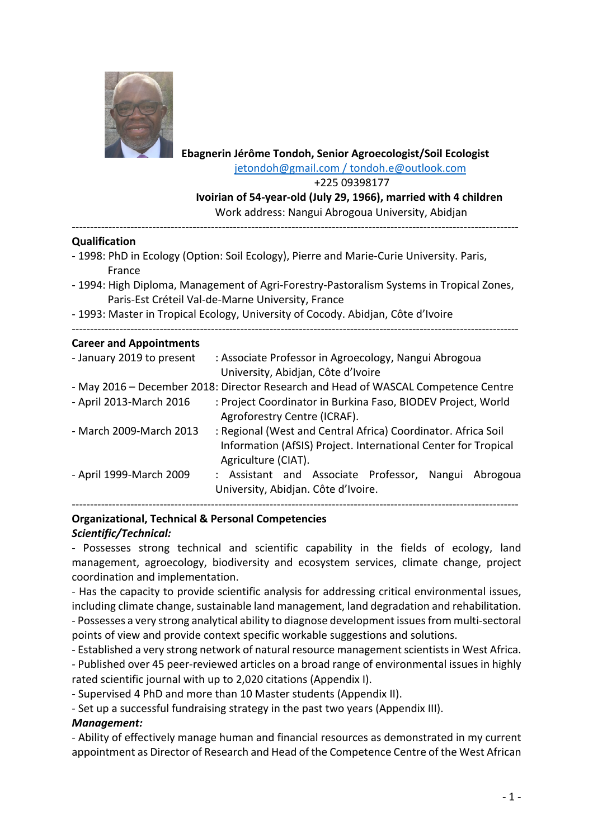

## **Ebagnerin Jérôme Tondoh, Senior Agroecologist/Soil Ecologist** jetondoh@gmail.com / tondoh.e@outlook.com

+225 09398177

 **Ivoirian of 54-year-old (July 29, 1966), married with 4 children** Work address: Nangui Abrogoua University, Abidjan

--------------------------------------------------------------------------------------------------------------------------

#### **Qualification**

- 1998: PhD in Ecology (Option: Soil Ecology), Pierre and Marie-Curie University. Paris, France
- 1994: High Diploma, Management of Agri-Forestry-Pastoralism Systems in Tropical Zones, Paris-Est Créteil Val-de-Marne University, France

--------------------------------------------------------------------------------------------------------------------------

- 1993: Master in Tropical Ecology, University of Cocody. Abidjan, Côte d'Ivoire

#### **Career and Appointments**

| - January 2019 to present | : Associate Professor in Agroecology, Nangui Abrogoua<br>University, Abidjan, Côte d'Ivoire |
|---------------------------|---------------------------------------------------------------------------------------------|
|                           |                                                                                             |
|                           | - May 2016 – December 2018: Director Research and Head of WASCAL Competence Centre          |
| - April 2013-March 2016   | : Project Coordinator in Burkina Faso, BIODEV Project, World                                |
|                           | Agroforestry Centre (ICRAF).                                                                |
| - March 2009-March 2013   | : Regional (West and Central Africa) Coordinator. Africa Soil                               |
|                           | Information (AfSIS) Project. International Center for Tropical                              |
|                           | Agriculture (CIAT).                                                                         |
| - April 1999-March 2009   | : Assistant and Associate Professor,<br>Nangui<br>Abrogoua                                  |
|                           | University, Abidjan. Côte d'Ivoire.                                                         |
|                           |                                                                                             |
|                           |                                                                                             |

# **Organizational, Technical & Personal Competencies** *Scientific/Technical:*

- Possesses strong technical and scientific capability in the fields of ecology, land management, agroecology, biodiversity and ecosystem services, climate change, project coordination and implementation.

- Has the capacity to provide scientific analysis for addressing critical environmental issues, including climate change, sustainable land management, land degradation and rehabilitation.

- Possesses a very strong analytical ability to diagnose development issues from multi-sectoral points of view and provide context specific workable suggestions and solutions.

- Established a very strong network of natural resource management scientists in West Africa. - Published over 45 peer-reviewed articles on a broad range of environmental issues in highly rated scientific journal with up to 2,020 citations (Appendix I).

- Supervised 4 PhD and more than 10 Master students (Appendix II).

- Set up a successful fundraising strategy in the past two years (Appendix III).

## *Management:*

- Ability of effectively manage human and financial resources as demonstrated in my current appointment as Director of Research and Head of the Competence Centre of the West African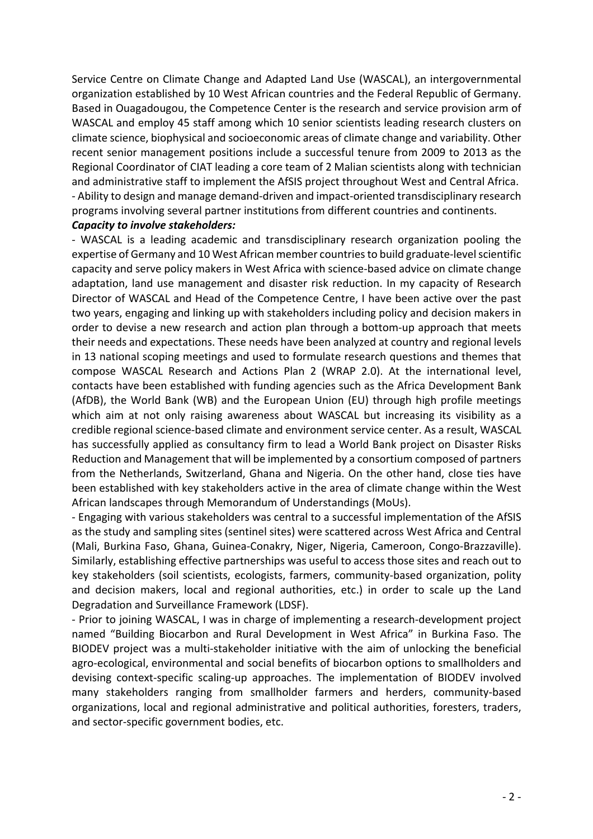Service Centre on Climate Change and Adapted Land Use (WASCAL), an intergovernmental organization established by 10 West African countries and the Federal Republic of Germany. Based in Ouagadougou, the Competence Center is the research and service provision arm of WASCAL and employ 45 staff among which 10 senior scientists leading research clusters on climate science, biophysical and socioeconomic areas of climate change and variability. Other recent senior management positions include a successful tenure from 2009 to 2013 as the Regional Coordinator of CIAT leading a core team of 2 Malian scientists along with technician and administrative staff to implement the AfSIS project throughout West and Central Africa. - Ability to design and manage demand-driven and impact-oriented transdisciplinary research programs involving several partner institutions from different countries and continents.

## *Capacity to involve stakeholders:*

- WASCAL is a leading academic and transdisciplinary research organization pooling the expertise of Germany and 10 West African member countries to build graduate-level scientific capacity and serve policy makers in West Africa with science-based advice on climate change adaptation, land use management and disaster risk reduction. In my capacity of Research Director of WASCAL and Head of the Competence Centre, I have been active over the past two years, engaging and linking up with stakeholders including policy and decision makers in order to devise a new research and action plan through a bottom-up approach that meets their needs and expectations. These needs have been analyzed at country and regional levels in 13 national scoping meetings and used to formulate research questions and themes that compose WASCAL Research and Actions Plan 2 (WRAP 2.0). At the international level, contacts have been established with funding agencies such as the Africa Development Bank (AfDB), the World Bank (WB) and the European Union (EU) through high profile meetings which aim at not only raising awareness about WASCAL but increasing its visibility as a credible regional science-based climate and environment service center. As a result, WASCAL has successfully applied as consultancy firm to lead a World Bank project on Disaster Risks Reduction and Management that will be implemented by a consortium composed of partners from the Netherlands, Switzerland, Ghana and Nigeria. On the other hand, close ties have been established with key stakeholders active in the area of climate change within the West African landscapes through Memorandum of Understandings (MoUs).

- Engaging with various stakeholders was central to a successful implementation of the AfSIS as the study and sampling sites (sentinel sites) were scattered across West Africa and Central (Mali, Burkina Faso, Ghana, Guinea-Conakry, Niger, Nigeria, Cameroon, Congo-Brazzaville). Similarly, establishing effective partnerships was useful to access those sites and reach out to key stakeholders (soil scientists, ecologists, farmers, community-based organization, polity and decision makers, local and regional authorities, etc.) in order to scale up the Land Degradation and Surveillance Framework (LDSF).

- Prior to joining WASCAL, I was in charge of implementing a research-development project named "Building Biocarbon and Rural Development in West Africa" in Burkina Faso. The BIODEV project was a multi-stakeholder initiative with the aim of unlocking the beneficial agro-ecological, environmental and social benefits of biocarbon options to smallholders and devising context-specific scaling-up approaches. The implementation of BIODEV involved many stakeholders ranging from smallholder farmers and herders, community-based organizations, local and regional administrative and political authorities, foresters, traders, and sector-specific government bodies, etc.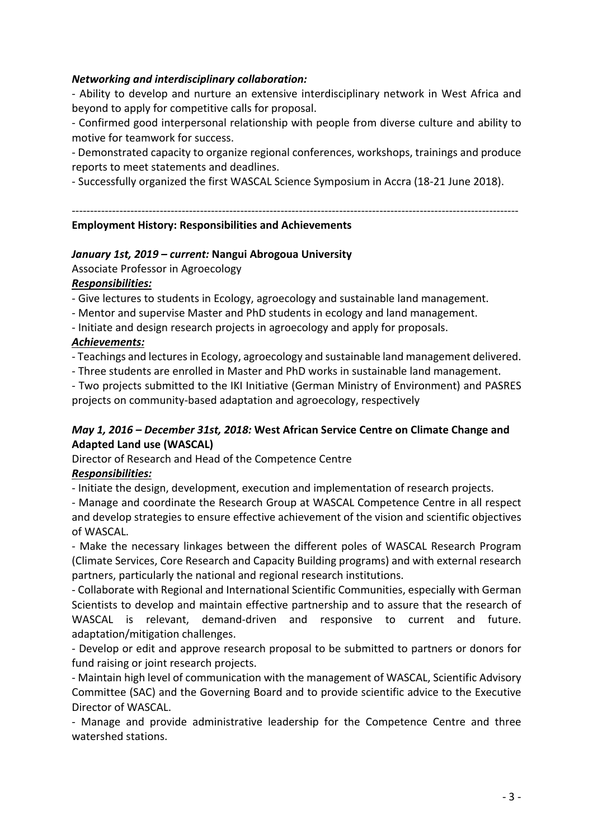## *Networking and interdisciplinary collaboration:*

- Ability to develop and nurture an extensive interdisciplinary network in West Africa and beyond to apply for competitive calls for proposal.

- Confirmed good interpersonal relationship with people from diverse culture and ability to motive for teamwork for success.

- Demonstrated capacity to organize regional conferences, workshops, trainings and produce reports to meet statements and deadlines.

- Successfully organized the first WASCAL Science Symposium in Accra (18-21 June 2018).

--------------------------------------------------------------------------------------------------------------------------

## **Employment History: Responsibilities and Achievements**

## *January 1st, 2019 – current:* **Nangui Abrogoua University**

Associate Professor in Agroecology

## *Responsibilities:*

- Give lectures to students in Ecology, agroecology and sustainable land management.

- Mentor and supervise Master and PhD students in ecology and land management.
- Initiate and design research projects in agroecology and apply for proposals.

## *Achievements:*

- Teachings and lectures in Ecology, agroecology and sustainable land management delivered.

- Three students are enrolled in Master and PhD works in sustainable land management.

- Two projects submitted to the IKI Initiative (German Ministry of Environment) and PASRES projects on community-based adaptation and agroecology, respectively

## *May 1, 2016 – December 31st, 2018:* **West African Service Centre on Climate Change and Adapted Land use (WASCAL)**

Director of Research and Head of the Competence Centre

## *Responsibilities:*

- Initiate the design, development, execution and implementation of research projects.

- Manage and coordinate the Research Group at WASCAL Competence Centre in all respect and develop strategies to ensure effective achievement of the vision and scientific objectives of WASCAL.

- Make the necessary linkages between the different poles of WASCAL Research Program (Climate Services, Core Research and Capacity Building programs) and with external research partners, particularly the national and regional research institutions.

- Collaborate with Regional and International Scientific Communities, especially with German Scientists to develop and maintain effective partnership and to assure that the research of WASCAL is relevant, demand-driven and responsive to current and future. adaptation/mitigation challenges.

- Develop or edit and approve research proposal to be submitted to partners or donors for fund raising or joint research projects.

- Maintain high level of communication with the management of WASCAL, Scientific Advisory Committee (SAC) and the Governing Board and to provide scientific advice to the Executive Director of WASCAL.

- Manage and provide administrative leadership for the Competence Centre and three watershed stations.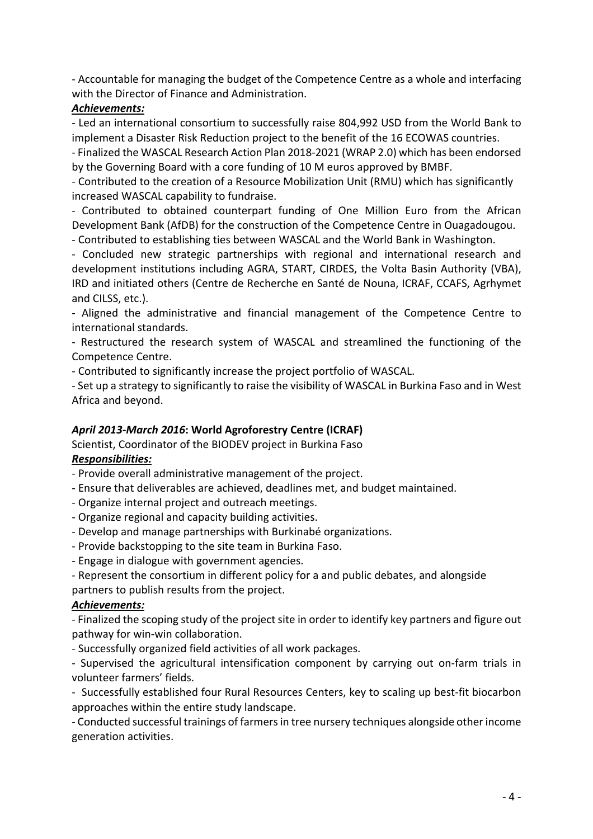- Accountable for managing the budget of the Competence Centre as a whole and interfacing with the Director of Finance and Administration.

# *Achievements:*

- Led an international consortium to successfully raise 804,992 USD from the World Bank to implement a Disaster Risk Reduction project to the benefit of the 16 ECOWAS countries.

- Finalized the WASCAL Research Action Plan 2018-2021 (WRAP 2.0) which has been endorsed by the Governing Board with a core funding of 10 M euros approved by BMBF.

- Contributed to the creation of a Resource Mobilization Unit (RMU) which has significantly increased WASCAL capability to fundraise.

- Contributed to obtained counterpart funding of One Million Euro from the African Development Bank (AfDB) for the construction of the Competence Centre in Ouagadougou. - Contributed to establishing ties between WASCAL and the World Bank in Washington.

- Concluded new strategic partnerships with regional and international research and development institutions including AGRA, START, CIRDES, the Volta Basin Authority (VBA), IRD and initiated others (Centre de Recherche en Santé de Nouna, ICRAF, CCAFS, Agrhymet and CILSS, etc.).

- Aligned the administrative and financial management of the Competence Centre to international standards.

- Restructured the research system of WASCAL and streamlined the functioning of the Competence Centre.

- Contributed to significantly increase the project portfolio of WASCAL.

- Set up a strategy to significantly to raise the visibility of WASCAL in Burkina Faso and in West Africa and beyond.

# *April 2013-March 2016***: World Agroforestry Centre (ICRAF)**

Scientist, Coordinator of the BIODEV project in Burkina Faso *Responsibilities:*

- Provide overall administrative management of the project.
- Ensure that deliverables are achieved, deadlines met, and budget maintained.
- Organize internal project and outreach meetings.
- Organize regional and capacity building activities.
- Develop and manage partnerships with Burkinabé organizations.
- Provide backstopping to the site team in Burkina Faso.
- Engage in dialogue with government agencies.

- Represent the consortium in different policy for a and public debates, and alongside partners to publish results from the project.

## *Achievements:*

- Finalized the scoping study of the project site in order to identify key partners and figure out pathway for win-win collaboration.

- Successfully organized field activities of all work packages.

- Supervised the agricultural intensification component by carrying out on-farm trials in volunteer farmers' fields.

- Successfully established four Rural Resources Centers, key to scaling up best-fit biocarbon approaches within the entire study landscape.

- Conducted successful trainings of farmers in tree nursery techniques alongside other income generation activities.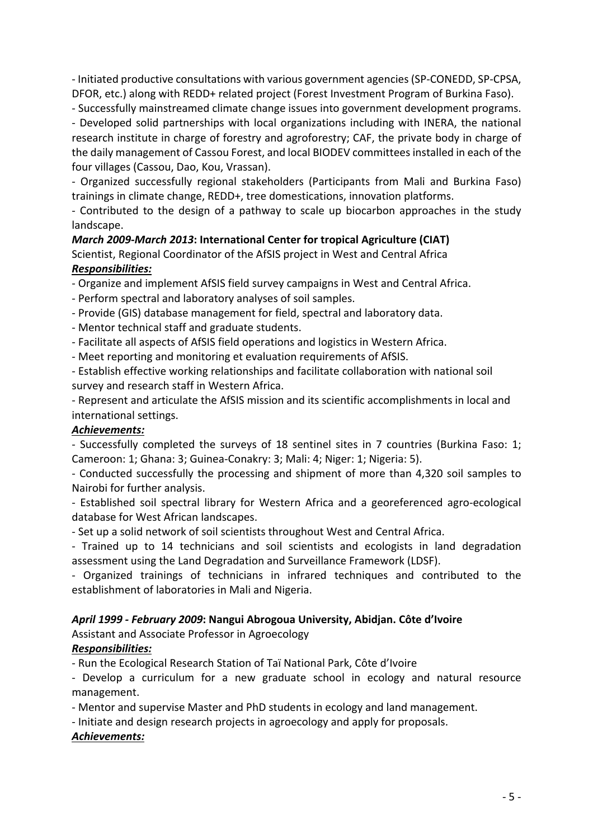- Initiated productive consultations with various government agencies (SP-CONEDD, SP-CPSA, DFOR, etc.) along with REDD+ related project (Forest Investment Program of Burkina Faso).

- Successfully mainstreamed climate change issues into government development programs.

- Developed solid partnerships with local organizations including with INERA, the national research institute in charge of forestry and agroforestry; CAF, the private body in charge of the daily management of Cassou Forest, and local BIODEV committees installed in each of the four villages (Cassou, Dao, Kou, Vrassan).

- Organized successfully regional stakeholders (Participants from Mali and Burkina Faso) trainings in climate change, REDD+, tree domestications, innovation platforms.

- Contributed to the design of a pathway to scale up biocarbon approaches in the study landscape.

## *March 2009-March 2013***: International Center for tropical Agriculture (CIAT)**

Scientist, Regional Coordinator of the AfSIS project in West and Central Africa *Responsibilities:*

- Organize and implement AfSIS field survey campaigns in West and Central Africa.

- Perform spectral and laboratory analyses of soil samples.

- Provide (GIS) database management for field, spectral and laboratory data.

- Mentor technical staff and graduate students.

- Facilitate all aspects of AfSIS field operations and logistics in Western Africa.

- Meet reporting and monitoring et evaluation requirements of AfSIS.

- Establish effective working relationships and facilitate collaboration with national soil survey and research staff in Western Africa.

- Represent and articulate the AfSIS mission and its scientific accomplishments in local and international settings.

## *Achievements:*

- Successfully completed the surveys of 18 sentinel sites in 7 countries (Burkina Faso: 1; Cameroon: 1; Ghana: 3; Guinea-Conakry: 3; Mali: 4; Niger: 1; Nigeria: 5).

- Conducted successfully the processing and shipment of more than 4,320 soil samples to Nairobi for further analysis.

- Established soil spectral library for Western Africa and a georeferenced agro-ecological database for West African landscapes.

- Set up a solid network of soil scientists throughout West and Central Africa.

- Trained up to 14 technicians and soil scientists and ecologists in land degradation assessment using the Land Degradation and Surveillance Framework (LDSF).

- Organized trainings of technicians in infrared techniques and contributed to the establishment of laboratories in Mali and Nigeria.

## *April 1999 - February 2009***: Nangui Abrogoua University, Abidjan. Côte d'Ivoire**

Assistant and Associate Professor in Agroecology

## *Responsibilities:*

- Run the Ecological Research Station of Taï National Park, Côte d'Ivoire

- Develop a curriculum for a new graduate school in ecology and natural resource management.

- Mentor and supervise Master and PhD students in ecology and land management.

- Initiate and design research projects in agroecology and apply for proposals.

## *Achievements:*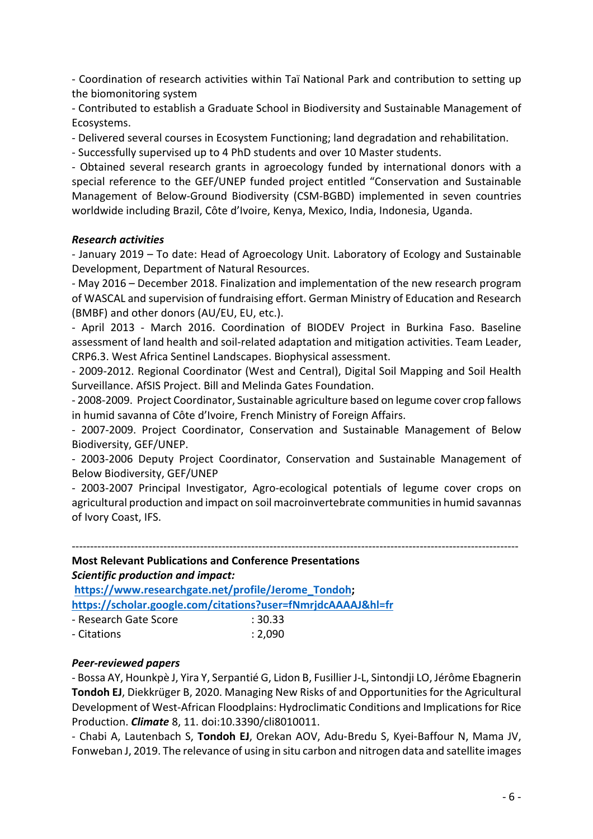- Coordination of research activities within Taï National Park and contribution to setting up the biomonitoring system

- Contributed to establish a Graduate School in Biodiversity and Sustainable Management of Ecosystems.

- Delivered several courses in Ecosystem Functioning; land degradation and rehabilitation.

- Successfully supervised up to 4 PhD students and over 10 Master students.

- Obtained several research grants in agroecology funded by international donors with a special reference to the GEF/UNEP funded project entitled "Conservation and Sustainable Management of Below-Ground Biodiversity (CSM-BGBD) implemented in seven countries worldwide including Brazil, Côte d'Ivoire, Kenya, Mexico, India, Indonesia, Uganda.

## *Research activities*

- January 2019 – To date: Head of Agroecology Unit. Laboratory of Ecology and Sustainable Development, Department of Natural Resources.

- May 2016 – December 2018. Finalization and implementation of the new research program of WASCAL and supervision of fundraising effort. German Ministry of Education and Research (BMBF) and other donors (AU/EU, EU, etc.).

- April 2013 - March 2016. Coordination of BIODEV Project in Burkina Faso. Baseline assessment of land health and soil-related adaptation and mitigation activities. Team Leader, CRP6.3. West Africa Sentinel Landscapes. Biophysical assessment.

- 2009-2012. Regional Coordinator (West and Central), Digital Soil Mapping and Soil Health Surveillance. AfSIS Project. Bill and Melinda Gates Foundation.

- 2008-2009. Project Coordinator, Sustainable agriculture based on legume cover crop fallows in humid savanna of Côte d'Ivoire, French Ministry of Foreign Affairs.

- 2007-2009. Project Coordinator, Conservation and Sustainable Management of Below Biodiversity, GEF/UNEP.

- 2003-2006 Deputy Project Coordinator, Conservation and Sustainable Management of Below Biodiversity, GEF/UNEP

- 2003-2007 Principal Investigator, Agro-ecological potentials of legume cover crops on agricultural production and impact on soil macroinvertebrate communities in humid savannas of Ivory Coast, IFS.

--------------------------------------------------------------------------------------------------------------------------

# **Most Relevant Publications and Conference Presentations** *Scientific production and impact:* **https://www.researchgate.net/profile/Jerome\_Tondoh; https://scholar.google.com/citations?user=fNmrjdcAAAAJ&hl=fr**

| - Research Gate Score | :30.33  |
|-----------------------|---------|
| - Citations           | : 2,090 |

## *Peer-reviewed papers*

- Bossa AY, Hounkpè J, Yira Y, Serpantié G, Lidon B, Fusillier J-L, Sintondji LO, Jérôme Ebagnerin **Tondoh EJ**, Diekkrüger B, 2020. Managing New Risks of and Opportunities for the Agricultural Development of West-African Floodplains: Hydroclimatic Conditions and Implications for Rice Production. *Climate* 8, 11. doi:10.3390/cli8010011.

- Chabi A, Lautenbach S, **Tondoh EJ**, Orekan AOV, Adu-Bredu S, Kyei-Baffour N, Mama JV, Fonweban J, 2019. The relevance of using in situ carbon and nitrogen data and satellite images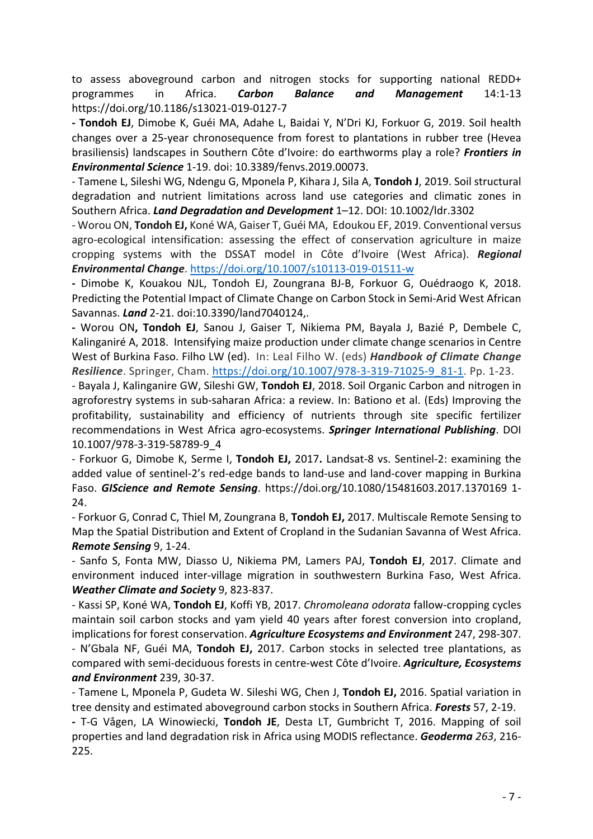to assess aboveground carbon and nitrogen stocks for supporting national REDD+ programmes in Africa. *Carbon Balance and Management* 14:1-13 https://doi.org/10.1186/s13021-019-0127-7

**- Tondoh EJ**, Dimobe K, Guéi MA, Adahe L, Baidai Y, N'Dri KJ, Forkuor G, 2019. Soil health changes over a 25-year chronosequence from forest to plantations in rubber tree (Hevea brasiliensis) landscapes in Southern Côte d'Ivoire: do earthworms play a role? *Frontiers in Environmental Science* 1-19. doi: 10.3389/fenvs.2019.00073.

- Tamene L, Sileshi WG, Ndengu G, Mponela P, Kihara J, Sila A, **Tondoh J**, 2019. Soil structural degradation and nutrient limitations across land use categories and climatic zones in Southern Africa. *Land Degradation and Development* 1–12. DOI: 10.1002/ldr.3302

- Worou ON, **Tondoh EJ,** Koné WA, Gaiser T, Guéi MA, Edoukou EF, 2019. Conventional versus agro-ecological intensification: assessing the effect of conservation agriculture in maize cropping systems with the DSSAT model in Côte d'Ivoire (West Africa). *Regional Environmental Change*. https://doi.org/10.1007/s10113-019-01511-w

**-** Dimobe K, Kouakou NJL, Tondoh EJ, Zoungrana BJ-B, Forkuor G, Ouédraogo K, 2018. Predicting the Potential Impact of Climate Change on Carbon Stock in Semi-Arid West African Savannas. *Land* 2-21. doi:10.3390/land7040124,.

**-** Worou ON**, Tondoh EJ**, Sanou J, Gaiser T, Nikiema PM, Bayala J, Bazié P, Dembele C, Kalinganiré A, 2018. Intensifying maize production under climate change scenarios in Centre West of Burkina Faso. Filho LW (ed). In: Leal Filho W. (eds) *Handbook of Climate Change Resilience*. Springer, Cham. https://doi.org/10.1007/978-3-319-71025-9\_81-1. Pp. 1-23.

- Bayala J, Kalinganire GW, Sileshi GW, **Tondoh EJ**, 2018. Soil Organic Carbon and nitrogen in agroforestry systems in sub-saharan Africa: a review. In: Bationo et al. (Eds) Improving the profitability, sustainability and efficiency of nutrients through site specific fertilizer recommendations in West Africa agro-ecosystems. *Springer International Publishing*. DOI 10.1007/978-3-319-58789-9\_4

- Forkuor G, Dimobe K, Serme I, **Tondoh EJ,** 2017**.** Landsat-8 vs. Sentinel-2: examining the added value of sentinel-2's red-edge bands to land-use and land-cover mapping in Burkina Faso. *GIScience and Remote Sensing*. https://doi.org/10.1080/15481603.2017.1370169 1- 24.

- Forkuor G, Conrad C, Thiel M, Zoungrana B, **Tondoh EJ,** 2017. Multiscale Remote Sensing to Map the Spatial Distribution and Extent of Cropland in the Sudanian Savanna of West Africa. *Remote Sensing* 9, 1-24.

- Sanfo S, Fonta MW, Diasso U, Nikiema PM, Lamers PAJ, **Tondoh EJ**, 2017. Climate and environment induced inter-village migration in southwestern Burkina Faso, West Africa. *Weather Climate and Society* 9, 823-837.

- Kassi SP, Koné WA, **Tondoh EJ**, Koffi YB, 2017. *Chromoleana odorata* fallow-cropping cycles maintain soil carbon stocks and yam yield 40 years after forest conversion into cropland, implications for forest conservation. *Agriculture Ecosystems and Environment* 247, 298-307. - N'Gbala NF, Guéi MA, **Tondoh EJ,** 2017. Carbon stocks in selected tree plantations, as compared with semi-deciduous forests in centre-west Côte d'Ivoire. *Agriculture, Ecosystems and Environment* 239, 30-37.

- Tamene L, Mponela P, Gudeta W. Sileshi WG, Chen J, **Tondoh EJ,** 2016. Spatial variation in tree density and estimated aboveground carbon stocks in Southern Africa. *Forests* 57, 2-19.

**-** T-G Vågen, LA Winowiecki, **Tondoh JE**, Desta LT, Gumbricht T, 2016. Mapping of soil properties and land degradation risk in Africa using MODIS reflectance. *Geoderma 263*, 216- 225.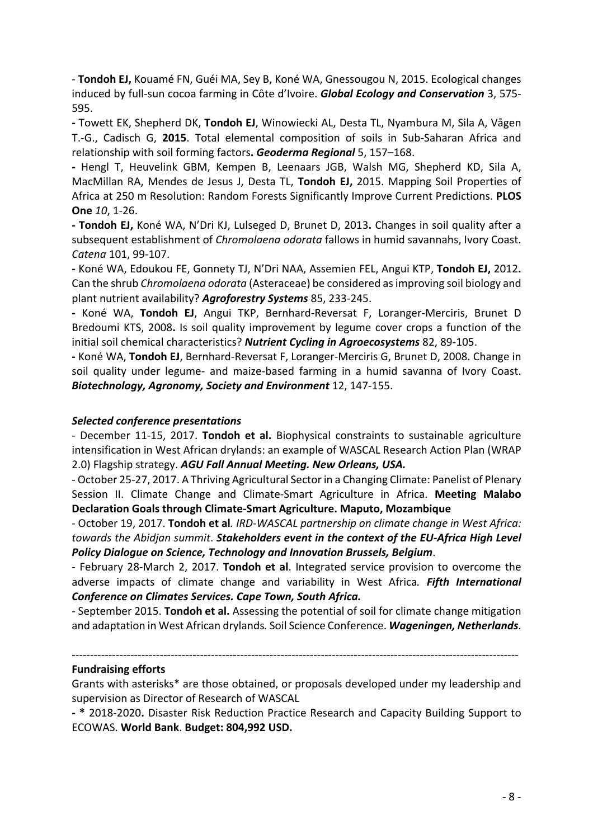- **Tondoh EJ,** Kouamé FN, Guéi MA, Sey B, Koné WA, Gnessougou N, 2015. Ecological changes induced by full-sun cocoa farming in Côte d'Ivoire. *Global Ecology and Conservation* 3, 575- 595.

**-** Towett EK, Shepherd DK, **Tondoh EJ**, Winowiecki AL, Desta TL, Nyambura M, Sila A, Vågen T.-G., Cadisch G, **2015**. Total elemental composition of soils in Sub-Saharan Africa and relationship with soil forming factors**.** *Geoderma Regional* 5, 157–168.

**-** Hengl T, Heuvelink GBM, Kempen B, Leenaars JGB, Walsh MG, Shepherd KD, Sila A, MacMillan RA, Mendes de Jesus J, Desta TL, **Tondoh EJ,** 2015. Mapping Soil Properties of Africa at 250 m Resolution: Random Forests Significantly Improve Current Predictions. **PLOS One** *10*, 1-26.

**- Tondoh EJ,** Koné WA, N'Dri KJ, Lulseged D, Brunet D, 2013**.** Changes in soil quality after a subsequent establishment of *Chromolaena odorata* fallows in humid savannahs, Ivory Coast. *Catena* 101, 99-107.

**-** Koné WA, Edoukou FE, Gonnety TJ, N'Dri NAA, Assemien FEL, Angui KTP, **Tondoh EJ,** 2012**.**  Can the shrub *Chromolaena odorata* (Asteraceae) be considered as improving soil biology and plant nutrient availability? *Agroforestry Systems* 85, 233-245.

**-** Koné WA, **Tondoh EJ**, Angui TKP, Bernhard-Reversat F, Loranger-Merciris, Brunet D Bredoumi KTS, 2008**.** Is soil quality improvement by legume cover crops a function of the initial soil chemical characteristics? *Nutrient Cycling in Agroecosystems* 82, 89-105.

**-** Koné WA, **Tondoh EJ**, Bernhard-Reversat F, Loranger-Merciris G, Brunet D, 2008. Change in soil quality under legume- and maize-based farming in a humid savanna of Ivory Coast. *Biotechnology, Agronomy, Society and Environment* 12, 147-155.

## *Selected conference presentations*

- December 11-15, 2017. **Tondoh et al.** Biophysical constraints to sustainable agriculture intensification in West African drylands: an example of WASCAL Research Action Plan (WRAP 2.0) Flagship strategy. *AGU Fall Annual Meeting. New Orleans, USA.*

- October 25-27, 2017. A Thriving Agricultural Sector in a Changing Climate: Panelist of Plenary Session II. Climate Change and Climate-Smart Agriculture in Africa. **Meeting Malabo Declaration Goals through Climate-Smart Agriculture. Maputo, Mozambique**

- October 19, 2017. **Tondoh et al***. IRD-WASCAL partnership on climate change in West Africa: towards the Abidjan summit*. *Stakeholders event in the context of the EU-Africa High Level Policy Dialogue on Science, Technology and Innovation Brussels, Belgium*.

- February 28-March 2, 2017. **Tondoh et al**. Integrated service provision to overcome the adverse impacts of climate change and variability in West Africa*. Fifth International Conference on Climates Services. Cape Town, South Africa.*

- September 2015. **Tondoh et al.** Assessing the potential of soil for climate change mitigation and adaptation in West African drylands*.* Soil Science Conference. *Wageningen, Netherlands*.

## **Fundraising efforts**

Grants with asterisks\* are those obtained, or proposals developed under my leadership and supervision as Director of Research of WASCAL

--------------------------------------------------------------------------------------------------------------------------

**- \*** 2018-2020**.** Disaster Risk Reduction Practice Research and Capacity Building Support to ECOWAS. **World Bank**. **Budget: 804,992 USD.**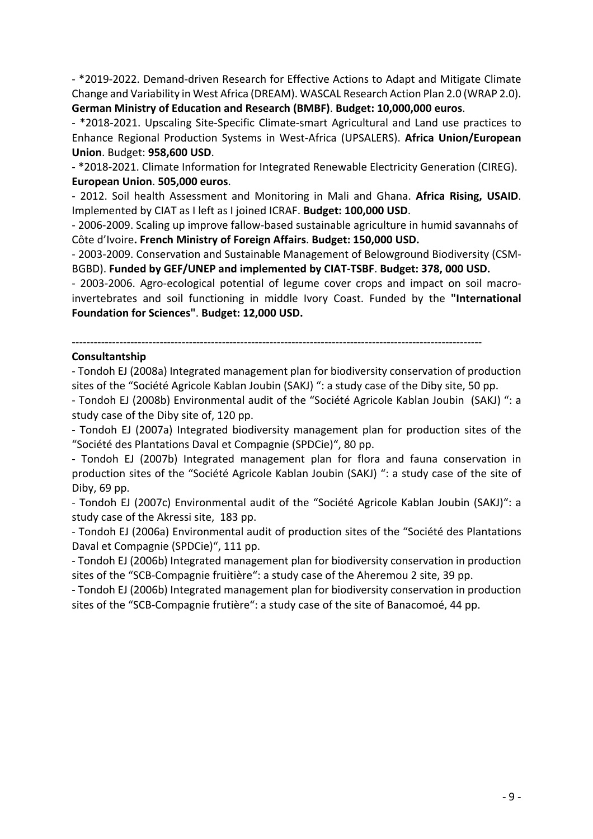- \*2019-2022. Demand-driven Research for Effective Actions to Adapt and Mitigate Climate Change and Variability in West Africa (DREAM). WASCAL Research Action Plan 2.0 (WRAP 2.0). **German Ministry of Education and Research (BMBF)**. **Budget: 10,000,000 euros**.

- \*2018-2021. Upscaling Site-Specific Climate-smart Agricultural and Land use practices to Enhance Regional Production Systems in West-Africa (UPSALERS). **Africa Union/European Union**. Budget: **958,600 USD**.

- \*2018-2021. Climate Information for Integrated Renewable Electricity Generation (CIREG). **European Union**. **505,000 euros**.

- 2012. Soil health Assessment and Monitoring in Mali and Ghana. **Africa Rising, USAID**. Implemented by CIAT as I left as I joined ICRAF. **Budget: 100,000 USD**.

- 2006-2009. Scaling up improve fallow-based sustainable agriculture in humid savannahs of Côte d'Ivoire**. French Ministry of Foreign Affairs**. **Budget: 150,000 USD.**

- 2003-2009. Conservation and Sustainable Management of Belowground Biodiversity (CSM-BGBD). **Funded by GEF/UNEP and implemented by CIAT-TSBF**. **Budget: 378, 000 USD.**

- 2003-2006. Agro-ecological potential of legume cover crops and impact on soil macroinvertebrates and soil functioning in middle Ivory Coast. Funded by the **"International Foundation for Sciences"**. **Budget: 12,000 USD.**

# ----------------------------------------------------------------------------------------------------------------

#### **Consultantship**

- Tondoh EJ (2008a) Integrated management plan for biodiversity conservation of production sites of the "Société Agricole Kablan Joubin (SAKJ) ": a study case of the Diby site, 50 pp.

- Tondoh EJ (2008b) Environmental audit of the "Société Agricole Kablan Joubin (SAKJ) ": a study case of the Diby site of, 120 pp.

- Tondoh EJ (2007a) Integrated biodiversity management plan for production sites of the "Société des Plantations Daval et Compagnie (SPDCie)", 80 pp.

- Tondoh EJ (2007b) Integrated management plan for flora and fauna conservation in production sites of the "Société Agricole Kablan Joubin (SAKJ) ": a study case of the site of Diby, 69 pp.

- Tondoh EJ (2007c) Environmental audit of the "Société Agricole Kablan Joubin (SAKJ)": a study case of the Akressi site, 183 pp.

- Tondoh EJ (2006a) Environmental audit of production sites of the "Société des Plantations Daval et Compagnie (SPDCie)", 111 pp.

- Tondoh EJ (2006b) Integrated management plan for biodiversity conservation in production sites of the "SCB-Compagnie fruitière": a study case of the Aheremou 2 site, 39 pp.

- Tondoh EJ (2006b) Integrated management plan for biodiversity conservation in production sites of the "SCB-Compagnie frutière": a study case of the site of Banacomoé, 44 pp.